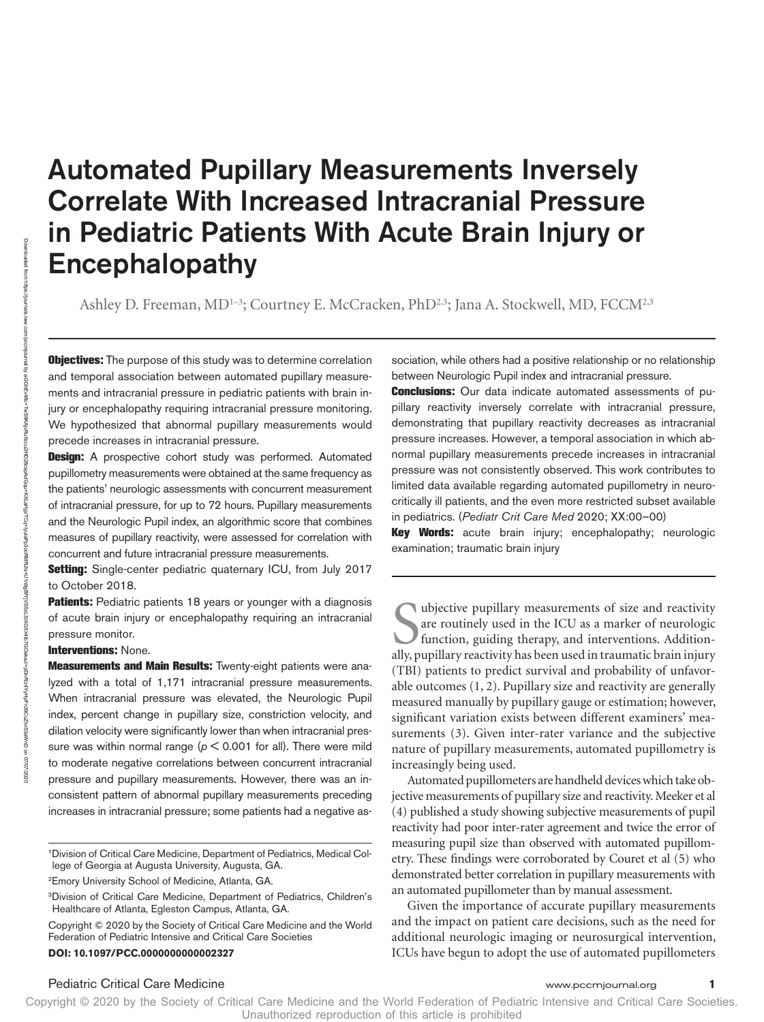# Automated Pupillary Measurements Inversely Correlate With Increased Intracranial Pressure in Pediatric Patients With Acute Brain Injury or Encephalopathy

Ashley D. Freeman, MD<sup>1-3</sup>; Courtney E. McCracken, PhD<sup>2,3</sup>; Jana A. Stockwell, MD, FCCM<sup>2,3</sup>

**Objectives:** The purpose of this study was to determine correlation and temporal association between automated pupillary measurements and intracranial pressure in pediatric patients with brain injury or encephalopathy requiring intracranial pressure monitoring. We hypothesized that abnormal pupillary measurements would precede increases in intracranial pressure.

Design: A prospective cohort study was performed. Automated pupillometry measurements were obtained at the same frequency as the patients' neurologic assessments with concurrent measurement of intracranial pressure, for up to 72 hours. Pupillary measurements and the Neurologic Pupil index, an algorithmic score that combines measures of pupillary reactivity, were assessed for correlation with concurrent and future intracranial pressure measurements.

Setting: Single-center pediatric quaternary ICU, from July 2017 to October 2018.

Patients: Pediatric patients 18 years or younger with a diagnosis of acute brain injury or encephalopathy requiring an intracranial pressure monitor.

#### Interventions: None.

Measurements and Main Results: Twenty-eight patients were analyzed with a total of 1,171 intracranial pressure measurements. When intracranial pressure was elevated, the Neurologic Pupil index, percent change in pupillary size, constriction velocity, and dilation velocity were significantly lower than when intracranial pressure was within normal range ( $p < 0.001$  for all). There were mild to moderate negative correlations between concurrent intracranial pressure and pupillary measurements. However, there was an inconsistent pattern of abnormal pupillary measurements preceding increases in intracranial pressure; some patients had a negative as-

1Division of Critical Care Medicine, Department of Pediatrics, Medical College of Georgia at Augusta University, Augusta, GA.

2Emory University School of Medicine, Atlanta, GA.

3Division of Critical Care Medicine, Department of Pediatrics, Children's Healthcare of Atlanta, Egleston Campus, Atlanta, GA.

Copyright © 2020 by the Society of Critical Care Medicine and the World Federation of Pediatric Intensive and Critical Care Societies

sociation, while others had a positive relationship or no relationship between Neurologic Pupil index and intracranial pressure.

**Conclusions:** Our data indicate automated assessments of pupillary reactivity inversely correlate with intracranial pressure, demonstrating that pupillary reactivity decreases as intracranial pressure increases. However, a temporal association in which abnormal pupillary measurements precede increases in intracranial pressure was not consistently observed. This work contributes to limited data available regarding automated pupillometry in neurocritically ill patients, and the even more restricted subset available in pediatrics. (*Pediatr Crit Care Med* 2020; XX:00–00)

Key Words: acute brain injury; encephalopathy; neurologic examination; traumatic brain injury

Subjective pupillary measurements of size and reactivity are routinely used in the ICU as a marker of neurologic function, guiding therapy, and interventions. Additionally, pupillary reactivity has been used in traumatic b ubjective pupillary measurements of size and reactivity are routinely used in the ICU as a marker of neurologic function, guiding therapy, and interventions. Addition-(TBI) patients to predict survival and probability of unfavorable outcomes (1, 2). Pupillary size and reactivity are generally measured manually by pupillary gauge or estimation; however, significant variation exists between different examiners' measurements (3). Given inter-rater variance and the subjective nature of pupillary measurements, automated pupillometry is increasingly being used.

Automated pupillometers are handheld devices which take objective measurements of pupillary size and reactivity. Meeker et al (4) published a study showing subjective measurements of pupil reactivity had poor inter-rater agreement and twice the error of measuring pupil size than observed with automated pupillometry. These findings were corroborated by Couret et al (5) who demonstrated better correlation in pupillary measurements with an automated pupillometer than by manual assessment.

Given the importance of accurate pupillary measurements and the impact on patient care decisions, such as the need for additional neurologic imaging or neurosurgical intervention, **DOI: 10.1097/PCC.000000000002327** ICUs have begun to adopt the use of automated pupillometers

Pediatric Critical Care Medicine www.pccmjournal.org **1**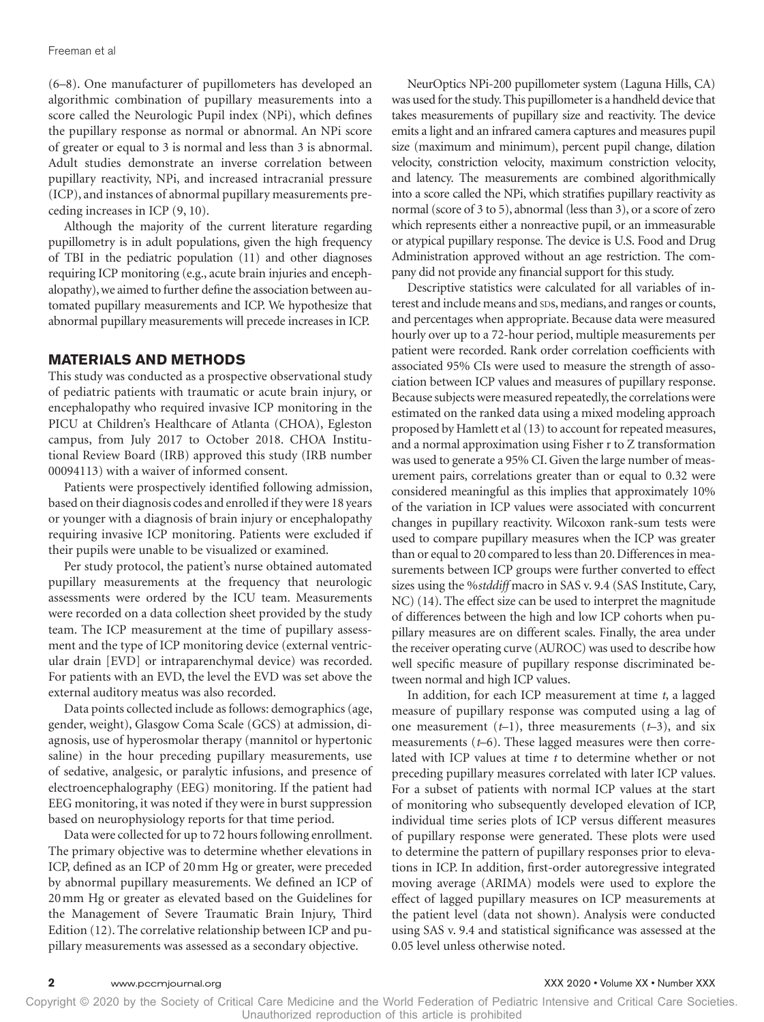(6–8). One manufacturer of pupillometers has developed an algorithmic combination of pupillary measurements into a score called the Neurologic Pupil index (NPi), which defines the pupillary response as normal or abnormal. An NPi score of greater or equal to 3 is normal and less than 3 is abnormal. Adult studies demonstrate an inverse correlation between pupillary reactivity, NPi, and increased intracranial pressure (ICP), and instances of abnormal pupillary measurements preceding increases in ICP (9, 10).

Although the majority of the current literature regarding pupillometry is in adult populations, given the high frequency of TBI in the pediatric population (11) and other diagnoses requiring ICP monitoring (e.g., acute brain injuries and encephalopathy), we aimed to further define the association between automated pupillary measurements and ICP. We hypothesize that abnormal pupillary measurements will precede increases in ICP.

#### **MATERIALS AND METHODS**

This study was conducted as a prospective observational study of pediatric patients with traumatic or acute brain injury, or encephalopathy who required invasive ICP monitoring in the PICU at Children's Healthcare of Atlanta (CHOA), Egleston campus, from July 2017 to October 2018. CHOA Institutional Review Board (IRB) approved this study (IRB number 00094113) with a waiver of informed consent.

Patients were prospectively identified following admission, based on their diagnosis codes and enrolled if they were 18 years or younger with a diagnosis of brain injury or encephalopathy requiring invasive ICP monitoring. Patients were excluded if their pupils were unable to be visualized or examined.

Per study protocol, the patient's nurse obtained automated pupillary measurements at the frequency that neurologic assessments were ordered by the ICU team. Measurements were recorded on a data collection sheet provided by the study team. The ICP measurement at the time of pupillary assessment and the type of ICP monitoring device (external ventricular drain [EVD] or intraparenchymal device) was recorded. For patients with an EVD, the level the EVD was set above the external auditory meatus was also recorded.

Data points collected include as follows: demographics (age, gender, weight), Glasgow Coma Scale (GCS) at admission, diagnosis, use of hyperosmolar therapy (mannitol or hypertonic saline) in the hour preceding pupillary measurements, use of sedative, analgesic, or paralytic infusions, and presence of electroencephalography (EEG) monitoring. If the patient had EEG monitoring, it was noted if they were in burst suppression based on neurophysiology reports for that time period.

Data were collected for up to 72 hours following enrollment. The primary objective was to determine whether elevations in ICP, defined as an ICP of 20mm Hg or greater, were preceded by abnormal pupillary measurements. We defined an ICP of 20mm Hg or greater as elevated based on the Guidelines for the Management of Severe Traumatic Brain Injury, Third Edition (12). The correlative relationship between ICP and pupillary measurements was assessed as a secondary objective.

NeurOptics NPi-200 pupillometer system (Laguna Hills, CA) was used for the study. This pupillometer is a handheld device that takes measurements of pupillary size and reactivity. The device emits a light and an infrared camera captures and measures pupil size (maximum and minimum), percent pupil change, dilation velocity, constriction velocity, maximum constriction velocity, and latency. The measurements are combined algorithmically into a score called the NPi, which stratifies pupillary reactivity as normal (score of 3 to 5), abnormal (less than 3), or a score of zero which represents either a nonreactive pupil, or an immeasurable or atypical pupillary response. The device is U.S. Food and Drug Administration approved without an age restriction. The company did not provide any financial support for this study.

Descriptive statistics were calculated for all variables of interest and include means and sps, medians, and ranges or counts, and percentages when appropriate. Because data were measured hourly over up to a 72-hour period, multiple measurements per patient were recorded. Rank order correlation coefficients with associated 95% CIs were used to measure the strength of association between ICP values and measures of pupillary response. Because subjects were measured repeatedly, the correlations were estimated on the ranked data using a mixed modeling approach proposed by Hamlett et al (13) to account for repeated measures, and a normal approximation using Fisher r to Z transformation was used to generate a 95% CI. Given the large number of measurement pairs, correlations greater than or equal to 0.32 were considered meaningful as this implies that approximately 10% of the variation in ICP values were associated with concurrent changes in pupillary reactivity. Wilcoxon rank-sum tests were used to compare pupillary measures when the ICP was greater than or equal to 20 compared to less than 20. Differences in measurements between ICP groups were further converted to effect sizes using the %*stddiff* macro in SAS v. 9.4 (SAS Institute, Cary, NC) (14). The effect size can be used to interpret the magnitude of differences between the high and low ICP cohorts when pupillary measures are on different scales. Finally, the area under the receiver operating curve (AUROC) was used to describe how well specific measure of pupillary response discriminated between normal and high ICP values.

In addition, for each ICP measurement at time *t*, a lagged measure of pupillary response was computed using a lag of one measurement (*t*–1), three measurements (*t*–3), and six measurements (*t*–6). These lagged measures were then correlated with ICP values at time *t* to determine whether or not preceding pupillary measures correlated with later ICP values. For a subset of patients with normal ICP values at the start of monitoring who subsequently developed elevation of ICP, individual time series plots of ICP versus different measures of pupillary response were generated. These plots were used to determine the pattern of pupillary responses prior to elevations in ICP. In addition, first-order autoregressive integrated moving average (ARIMA) models were used to explore the effect of lagged pupillary measures on ICP measurements at the patient level (data not shown). Analysis were conducted using SAS v. 9.4 and statistical significance was assessed at the 0.05 level unless otherwise noted.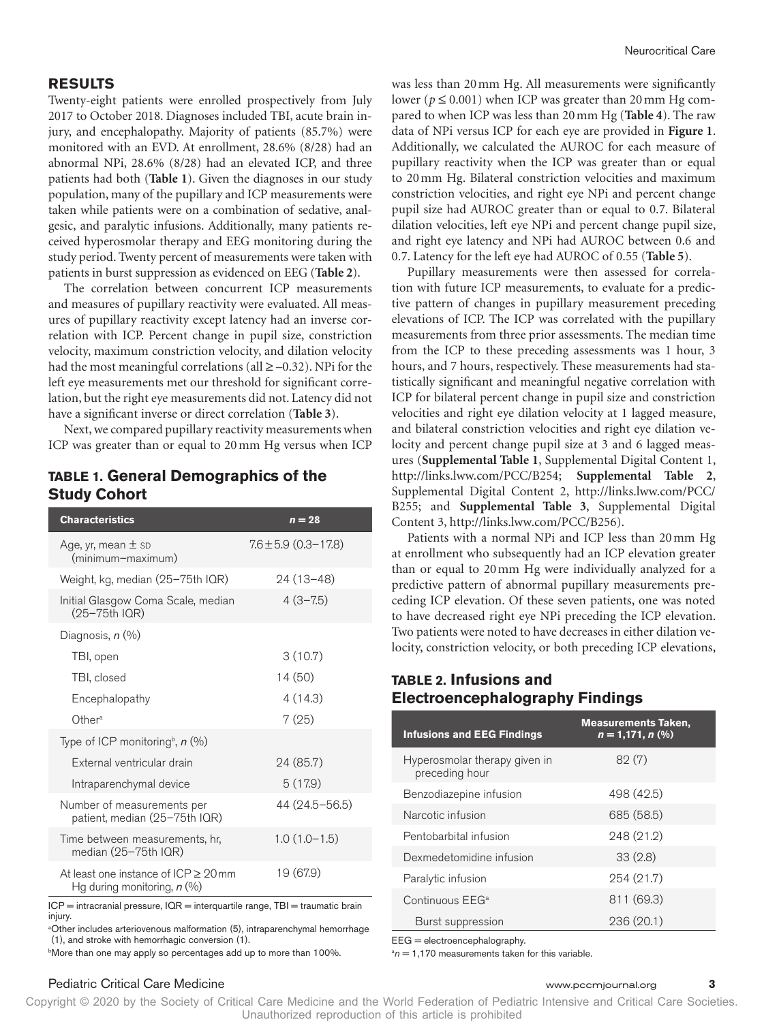### **RESULTS**

Twenty-eight patients were enrolled prospectively from July 2017 to October 2018. Diagnoses included TBI, acute brain injury, and encephalopathy. Majority of patients (85.7%) were monitored with an EVD. At enrollment, 28.6% (8/28) had an abnormal NPi, 28.6% (8/28) had an elevated ICP, and three patients had both (**Table 1**). Given the diagnoses in our study population, many of the pupillary and ICP measurements were taken while patients were on a combination of sedative, analgesic, and paralytic infusions. Additionally, many patients received hyperosmolar therapy and EEG monitoring during the study period. Twenty percent of measurements were taken with patients in burst suppression as evidenced on EEG (**Table 2**).

The correlation between concurrent ICP measurements and measures of pupillary reactivity were evaluated. All measures of pupillary reactivity except latency had an inverse correlation with ICP. Percent change in pupil size, constriction velocity, maximum constriction velocity, and dilation velocity had the most meaningful correlations (all  $\geq -0.32$ ). NPi for the left eye measurements met our threshold for significant correlation, but the right eye measurements did not. Latency did not have a significant inverse or direct correlation (**Table 3**).

Next, we compared pupillary reactivity measurements when ICP was greater than or equal to 20mm Hg versus when ICP

# **TABLE 1. General Demographics of the Study Cohort**

| <b>Characteristics</b>                                                        | $n = 28$                 |
|-------------------------------------------------------------------------------|--------------------------|
| Age, yr, mean $\pm$ sp<br>(minimum-maximum)                                   | $7.6 \pm 5.9$ (0.3-17.8) |
| Weight, kg, median (25-75th IQR)                                              | 24 (13–48)               |
| Initial Glasgow Coma Scale, median<br>(25-75th IQR)                           | $4(3 - 7.5)$             |
| Diagnosis, $n$ $(\%)$                                                         |                          |
| TBI, open                                                                     | 3(10.7)                  |
| TBI, closed                                                                   | 14 (50)                  |
| Encephalopathy                                                                | 4(14.3)                  |
| Other <sup>a</sup>                                                            | 7(25)                    |
| Type of ICP monitoring <sup>b</sup> , $n$ (%)                                 |                          |
| External ventricular drain                                                    | 24 (85.7)                |
| Intraparenchymal device                                                       | 5(17.9)                  |
| Number of measurements per<br>patient, median (25-75th IQR)                   | 44 (24.5-56.5)           |
| Time between measurements, hr,<br>median (25-75th IQR)                        | $1.0(1.0-1.5)$           |
| At least one instance of $ICP \geq 20$ mm<br>Hg during monitoring, $n$ (%)    | 19 (67.9)                |
| ICP = intracranial pressure, IQR = interquartile range, TBI = traumatic brain |                          |

injury.

<sup>a</sup>Other includes arteriovenous malformation (5), intraparenchymal hemorrhage (1), and stroke with hemorrhagic conversion (1).

b More than one may apply so percentages add up to more than 100%.

### Pediatric Critical Care Medicine www.pccmjournal.org **3**

was less than 20mm Hg. All measurements were significantly lower ( $p \le 0.001$ ) when ICP was greater than 20 mm Hg compared to when ICP was less than 20mm Hg (**Table 4**). The raw data of NPi versus ICP for each eye are provided in **Figure 1**. Additionally, we calculated the AUROC for each measure of pupillary reactivity when the ICP was greater than or equal to 20mm Hg. Bilateral constriction velocities and maximum constriction velocities, and right eye NPi and percent change pupil size had AUROC greater than or equal to 0.7. Bilateral dilation velocities, left eye NPi and percent change pupil size, and right eye latency and NPi had AUROC between 0.6 and 0.7. Latency for the left eye had AUROC of 0.55 (**Table 5**).

Pupillary measurements were then assessed for correlation with future ICP measurements, to evaluate for a predictive pattern of changes in pupillary measurement preceding elevations of ICP. The ICP was correlated with the pupillary measurements from three prior assessments. The median time from the ICP to these preceding assessments was 1 hour, 3 hours, and 7 hours, respectively. These measurements had statistically significant and meaningful negative correlation with ICP for bilateral percent change in pupil size and constriction velocities and right eye dilation velocity at 1 lagged measure, and bilateral constriction velocities and right eye dilation velocity and percent change pupil size at 3 and 6 lagged measures (**Supplemental Table 1**, Supplemental Digital Content 1, [http://links.lww.com/PCC/B254;](http://links.lww.com/PCC/B254) **Supplemental Table 2**, Supplemental Digital Content 2, [http://links.lww.com/PCC/](http://links.lww.com/PCC/B255) [B255](http://links.lww.com/PCC/B255); and **Supplemental Table 3**, Supplemental Digital Content 3,<http://links.lww.com/PCC/B256>).

Patients with a normal NPi and ICP less than 20mm Hg at enrollment who subsequently had an ICP elevation greater than or equal to 20mm Hg were individually analyzed for a predictive pattern of abnormal pupillary measurements preceding ICP elevation. Of these seven patients, one was noted to have decreased right eye NPi preceding the ICP elevation. Two patients were noted to have decreases in either dilation velocity, constriction velocity, or both preceding ICP elevations,

# **TABLE 2. Infusions and Electroencephalography Findings**

| <b>Infusions and EEG Findings</b>               | <b>Measurements Taken,</b><br>$n = 1,171, n$ (%) |
|-------------------------------------------------|--------------------------------------------------|
| Hyperosmolar therapy given in<br>preceding hour | 82(7)                                            |
| Benzodiazepine infusion                         | 498 (42.5)                                       |
| Narcotic infusion                               | 685 (58.5)                                       |
| Pentobarbital infusion                          | 248 (21.2)                                       |
| Dexmedetomidine infusion                        | 33(2.8)                                          |
| Paralytic infusion                              | 254 (21.7)                                       |
| Continuous EEG <sup>a</sup>                     | 811 (69.3)                                       |
| Burst suppression                               | 236 (20.1)                                       |

EEG = electroencephalography.

 $a_n = 1,170$  measurements taken for this variable.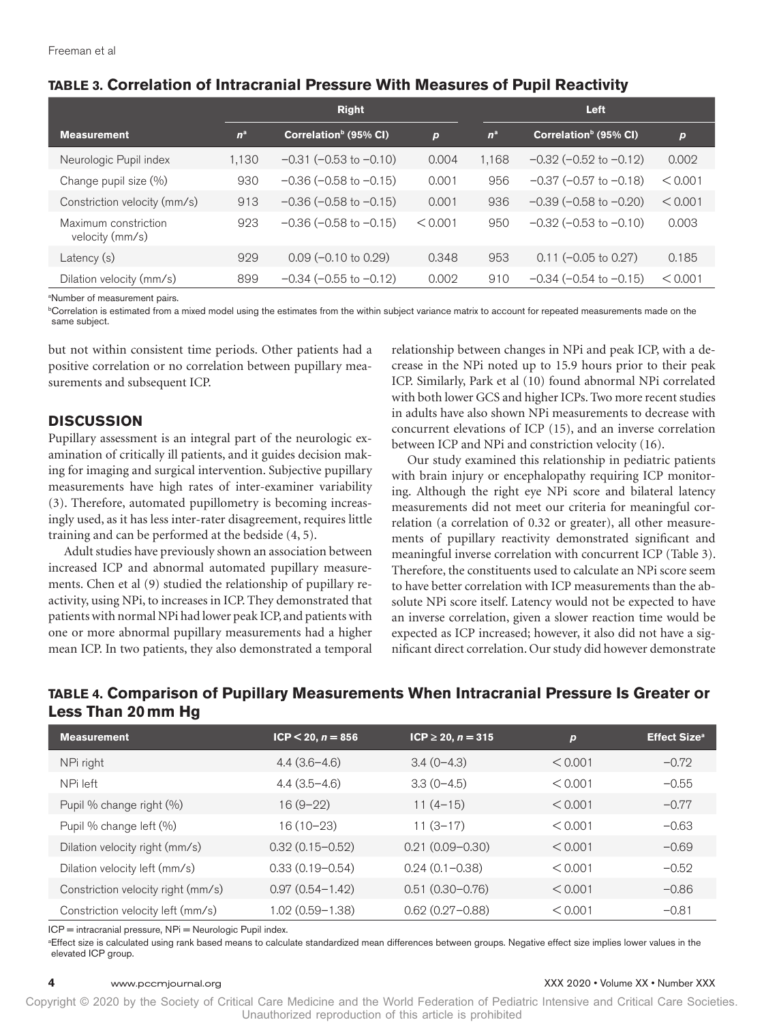| TABLE 3. Correlation of Intracranial Pressure With Measures of Pupil Reactivity |  |  |  |  |
|---------------------------------------------------------------------------------|--|--|--|--|
|---------------------------------------------------------------------------------|--|--|--|--|

|                                         | <b>Right</b> |                                   |                  | <b>Left</b> |                                   |                  |
|-----------------------------------------|--------------|-----------------------------------|------------------|-------------|-----------------------------------|------------------|
| <b>Measurement</b>                      | $n^a$        | Correlation <sup>b</sup> (95% CI) | $\boldsymbol{p}$ | $n^a$       | Correlation <sup>b</sup> (95% CI) | $\boldsymbol{p}$ |
| Neurologic Pupil index                  | 1,130        | $-0.31$ ( $-0.53$ to $-0.10$ )    | 0.004            | 1,168       | $-0.32$ ( $-0.52$ to $-0.12$ )    | 0.002            |
| Change pupil size (%)                   | 930          | $-0.36$ ( $-0.58$ to $-0.15$ )    | 0.001            | 956         | $-0.37$ ( $-0.57$ to $-0.18$ )    | < 0.001          |
| Constriction velocity (mm/s)            | 913          | $-0.36$ ( $-0.58$ to $-0.15$ )    | 0.001            | 936         | $-0.39$ ( $-0.58$ to $-0.20$ )    | < 0.001          |
| Maximum constriction<br>velocity (mm/s) | 923          | $-0.36$ ( $-0.58$ to $-0.15$ )    | < 0.001          | 950         | $-0.32$ ( $-0.53$ to $-0.10$ )    | 0.003            |
| Latency (s)                             | 929          | $0.09$ (-0.10 to 0.29)            | 0.348            | 953         | $0.11 (-0.05 to 0.27)$            | 0.185            |
| Dilation velocity (mm/s)                | 899          | $-0.34$ ( $-0.55$ to $-0.12$ )    | 0.002            | 910         | $-0.34$ ( $-0.54$ to $-0.15$ )    | < 0.001          |

a Number of measurement pairs.

b Correlation is estimated from a mixed model using the estimates from the within subject variance matrix to account for repeated measurements made on the same subject.

but not within consistent time periods. Other patients had a positive correlation or no correlation between pupillary measurements and subsequent ICP.

# **DISCUSSION**

Pupillary assessment is an integral part of the neurologic examination of critically ill patients, and it guides decision making for imaging and surgical intervention. Subjective pupillary measurements have high rates of inter-examiner variability (3). Therefore, automated pupillometry is becoming increasingly used, as it has less inter-rater disagreement, requires little training and can be performed at the bedside (4, 5).

Adult studies have previously shown an association between increased ICP and abnormal automated pupillary measurements. Chen et al (9) studied the relationship of pupillary reactivity, using NPi, to increases in ICP. They demonstrated that patients with normal NPi had lower peak ICP, and patients with one or more abnormal pupillary measurements had a higher mean ICP. In two patients, they also demonstrated a temporal

relationship between changes in NPi and peak ICP, with a decrease in the NPi noted up to 15.9 hours prior to their peak ICP. Similarly, Park et al (10) found abnormal NPi correlated with both lower GCS and higher ICPs. Two more recent studies in adults have also shown NPi measurements to decrease with concurrent elevations of ICP (15), and an inverse correlation between ICP and NPi and constriction velocity (16).

Our study examined this relationship in pediatric patients with brain injury or encephalopathy requiring ICP monitoring. Although the right eye NPi score and bilateral latency measurements did not meet our criteria for meaningful correlation (a correlation of 0.32 or greater), all other measurements of pupillary reactivity demonstrated significant and meaningful inverse correlation with concurrent ICP (Table 3). Therefore, the constituents used to calculate an NPi score seem to have better correlation with ICP measurements than the absolute NPi score itself. Latency would not be expected to have an inverse correlation, given a slower reaction time would be expected as ICP increased; however, it also did not have a significant direct correlation. Our study did however demonstrate

# **TABLE 4. Comparison of Pupillary Measurements When Intracranial Pressure Is Greater or Less Than 20mm Hg**

| <b>Measurement</b>                 | $ICP < 20, n = 856$ | $ICP \ge 20, n = 315$ | $\boldsymbol{p}$ | <b>Effect Size<sup>a</sup></b> |
|------------------------------------|---------------------|-----------------------|------------------|--------------------------------|
| NPi right                          | $4.4(3.6-4.6)$      | $3.4(0-4.3)$          | < 0.001          | $-0.72$                        |
| NPi left                           | $4.4(3.5-4.6)$      | $3.3(0-4.5)$          | < 0.001          | $-0.55$                        |
| Pupil % change right (%)           | $16(9-22)$          | $11(4-15)$            | < 0.001          | $-0.77$                        |
| Pupil % change left (%)            | $16(10-23)$         | $11(3-17)$            | < 0.001          | $-0.63$                        |
| Dilation velocity right (mm/s)     | $0.32(0.15 - 0.52)$ | $0.21(0.09 - 0.30)$   | < 0.001          | $-0.69$                        |
| Dilation velocity left (mm/s)      | $0.33(0.19 - 0.54)$ | $0.24(0.1 - 0.38)$    | < 0.001          | $-0.52$                        |
| Constriction velocity right (mm/s) | $0.97(0.54 - 1.42)$ | $0.51(0.30 - 0.76)$   | < 0.001          | $-0.86$                        |
| Constriction velocity left (mm/s)  | $1.02(0.59 - 1.38)$ | $0.62(0.27 - 0.88)$   | < 0.001          | $-0.81$                        |

ICP = intracranial pressure, NPi = Neurologic Pupil index.

a Effect size is calculated using rank based means to calculate standardized mean differences between groups. Negative effect size implies lower values in the elevated ICP group.

#### **4** www.pccmjournal.org XXX 2020 • Volume XX • Number XXX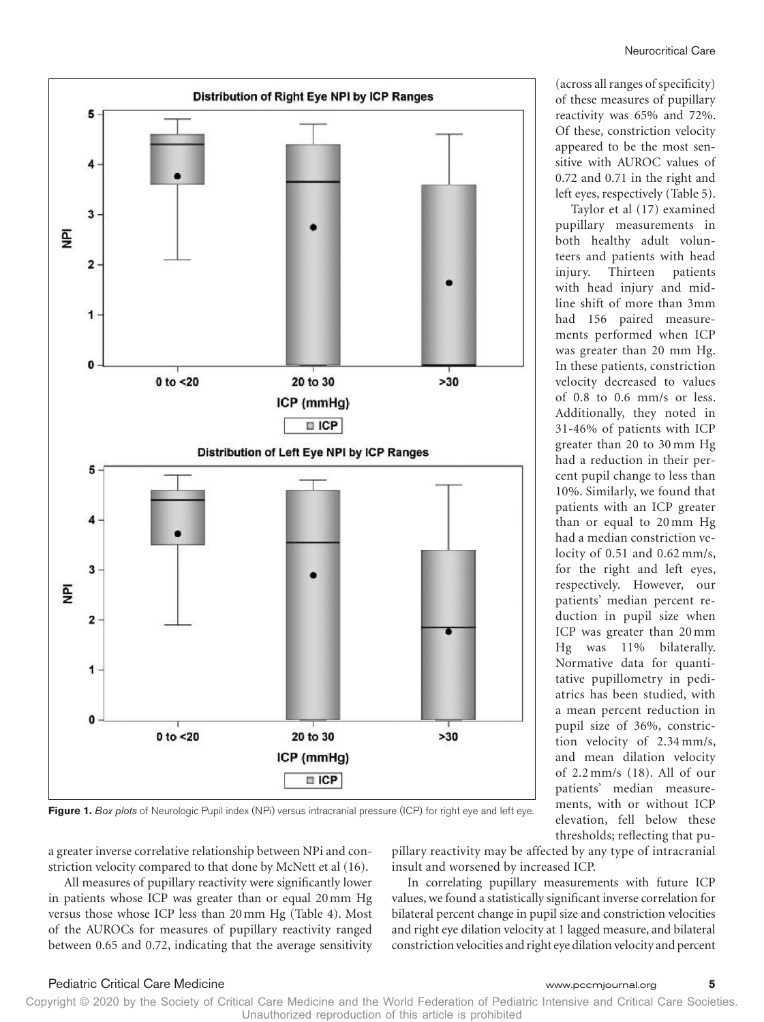(across all ranges of specificity) of these measures of pupillary reactivity was 65% and 72%. Of these, constriction velocity appeared to be the most sensitive with AUROC values of 0.72 and 0.71 in the right and left eyes, respectively (Table 5).

Taylor et al (17) examined pupillary measurements in both healthy adult volunteers and patients with head injury. Thirteen patients with head injury and midline shift of more than 3mm had 156 paired measurements performed when ICP was greater than 20 mm Hg. In these patients, constriction velocity decreased to values of 0.8 to 0.6 mm/s or less. Additionally, they noted in 31-46% of patients with ICP greater than 20 to 30 mm Hg had a reduction in their percent pupil change to less than 10%. Similarly, we found that patients with an ICP greater than or equal to 20 mm Hg had a median constriction velocity of 0.51 and 0.62 mm/s, for the right and left eyes, respectively. However, our patients' median percent reduction in pupil size when ICP was greater than 20 mm Hg was 11% bilaterally. Normative data for quantitative pupillometry in pediatrics has been studied, with a mean percent reduction in pupil size of 36%, constriction velocity of 2.34 mm/s, and mean dilation velocity of 2.2 mm/s (18). All of our patients' median measurements, with or without ICP elevation, fell below these thresholds; reflecting that pu-



Distribution of Right Eye NPI by ICP Ranges

**Figure 1.** *Box plots* of Neurologic Pupil index (NPi) versus intracranial pressure (ICP) for right eye and left eye.

a greater inverse correlative relationship between NPi and constriction velocity compared to that done by McNett et al (16).

All measures of pupillary reactivity were significantly lower in patients whose ICP was greater than or equal 20mm Hg versus those whose ICP less than 20mm Hg (Table 4). Most of the AUROCs for measures of pupillary reactivity ranged between 0.65 and 0.72, indicating that the average sensitivity pillary reactivity may be affected by any type of intracranial insult and worsened by increased ICP.

In correlating pupillary measurements with future ICP values, we found a statistically significant inverse correlation for bilateral percent change in pupil size and constriction velocities and right eye dilation velocity at 1 lagged measure, and bilateral constriction velocities and right eye dilation velocity and percent

#### Pediatric Critical Care Medicine www.pccmjournal.org **5**

5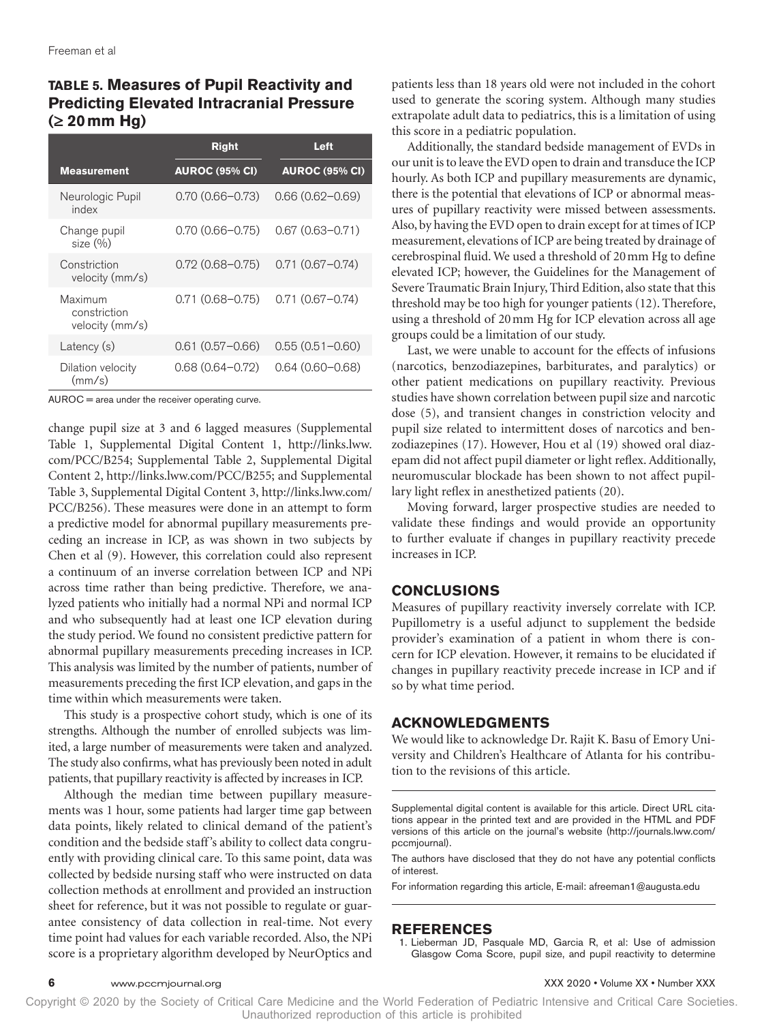# **TABLE 5. Measures of Pupil Reactivity and Predicting Elevated Intracranial Pressure (≥ 20mm Hg)**

|                                            | <b>Right</b>          | Left                  |
|--------------------------------------------|-----------------------|-----------------------|
| <b>Measurement</b>                         | <b>AUROC (95% CI)</b> | <b>AUROC (95% CI)</b> |
| Neurologic Pupil<br>index                  | $0.70(0.66 - 0.73)$   | $0.66(0.62 - 0.69)$   |
| Change pupil<br>size (%)                   | $0.70(0.66 - 0.75)$   | $0.67(0.63 - 0.71)$   |
| Constriction<br>velocity (mm/s)            | $0.72(0.68 - 0.75)$   | $0.71(0.67 - 0.74)$   |
| Maximum<br>constriction<br>velocity (mm/s) | $0.71(0.68 - 0.75)$   | $0.71(0.67 - 0.74)$   |
| Latency (s)                                | $0.61(0.57 - 0.66)$   | $0.55(0.51 - 0.60)$   |
| Dilation velocity<br>(mm/s)                | $0.68(0.64 - 0.72)$   | $0.64(0.60 - 0.68)$   |

AUROC = area under the receiver operating curve.

change pupil size at 3 and 6 lagged measures (Supplemental Table 1, Supplemental Digital Content 1, [http://links.lww.](http://links.lww.com/PCC/B254) [com/PCC/B254](http://links.lww.com/PCC/B254); Supplemental Table 2, Supplemental Digital Content 2, [http://links.lww.com/PCC/B255;](http://links.lww.com/PCC/B255) and Supplemental Table 3, Supplemental Digital Content 3, [http://links.lww.com/](http://links.lww.com/PCC/B256) [PCC/B256\)](http://links.lww.com/PCC/B256). These measures were done in an attempt to form a predictive model for abnormal pupillary measurements preceding an increase in ICP, as was shown in two subjects by Chen et al (9). However, this correlation could also represent a continuum of an inverse correlation between ICP and NPi across time rather than being predictive. Therefore, we analyzed patients who initially had a normal NPi and normal ICP and who subsequently had at least one ICP elevation during the study period. We found no consistent predictive pattern for abnormal pupillary measurements preceding increases in ICP. This analysis was limited by the number of patients, number of measurements preceding the first ICP elevation, and gaps in the time within which measurements were taken.

This study is a prospective cohort study, which is one of its strengths. Although the number of enrolled subjects was limited, a large number of measurements were taken and analyzed. The study also confirms, what has previously been noted in adult patients, that pupillary reactivity is affected by increases in ICP.

Although the median time between pupillary measurements was 1 hour, some patients had larger time gap between data points, likely related to clinical demand of the patient's condition and the bedside staff's ability to collect data congruently with providing clinical care. To this same point, data was collected by bedside nursing staff who were instructed on data collection methods at enrollment and provided an instruction sheet for reference, but it was not possible to regulate or guarantee consistency of data collection in real-time. Not every time point had values for each variable recorded. Also, the NPi score is a proprietary algorithm developed by NeurOptics and

patients less than 18 years old were not included in the cohort used to generate the scoring system. Although many studies extrapolate adult data to pediatrics, this is a limitation of using this score in a pediatric population.

Additionally, the standard bedside management of EVDs in our unit is to leave the EVD open to drain and transduce the ICP hourly. As both ICP and pupillary measurements are dynamic, there is the potential that elevations of ICP or abnormal measures of pupillary reactivity were missed between assessments. Also, by having the EVD open to drain except for at times of ICP measurement, elevations of ICP are being treated by drainage of cerebrospinal fluid. We used a threshold of 20mm Hg to define elevated ICP; however, the Guidelines for the Management of Severe Traumatic Brain Injury, Third Edition, also state that this threshold may be too high for younger patients (12). Therefore, using a threshold of 20mm Hg for ICP elevation across all age groups could be a limitation of our study.

Last, we were unable to account for the effects of infusions (narcotics, benzodiazepines, barbiturates, and paralytics) or other patient medications on pupillary reactivity. Previous studies have shown correlation between pupil size and narcotic dose (5), and transient changes in constriction velocity and pupil size related to intermittent doses of narcotics and benzodiazepines (17). However, Hou et al (19) showed oral diazepam did not affect pupil diameter or light reflex. Additionally, neuromuscular blockade has been shown to not affect pupillary light reflex in anesthetized patients (20).

Moving forward, larger prospective studies are needed to validate these findings and would provide an opportunity to further evaluate if changes in pupillary reactivity precede increases in ICP.

# **CONCLUSIONS**

Measures of pupillary reactivity inversely correlate with ICP. Pupillometry is a useful adjunct to supplement the bedside provider's examination of a patient in whom there is concern for ICP elevation. However, it remains to be elucidated if changes in pupillary reactivity precede increase in ICP and if so by what time period.

# **ACKNOWLEDGMENTS**

We would like to acknowledge Dr. Rajit K. Basu of Emory University and Children's Healthcare of Atlanta for his contribution to the revisions of this article.

Supplemental digital content is available for this article. Direct URL citations appear in the printed text and are provided in the HTML and PDF versions of this article on the journal's website ([http://journals.lww.com/](http://journals.lww.com/pccmjournal) [pccmjournal\)](http://journals.lww.com/pccmjournal).

The authors have disclosed that they do not have any potential conflicts of interest.

For information regarding this article, E-mail: [afreeman1@augusta.edu](mailto:afreeman1@augusta.edu)

# **REFERENCES**

1. Lieberman JD, Pasquale MD, Garcia R, et al: Use of admission Glasgow Coma Score, pupil size, and pupil reactivity to determine